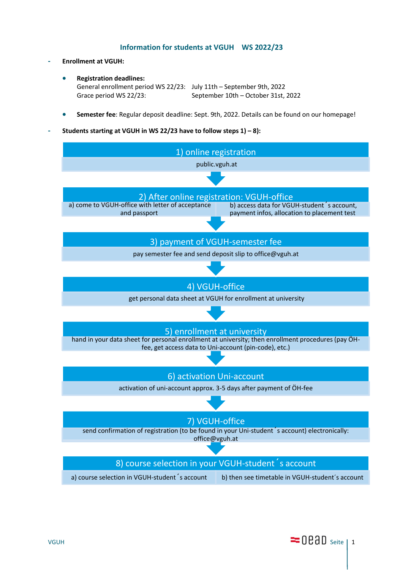# **Information for students at VGUH WS 2022/23**

### **- Enrollment at VGUH:**

- **Registration deadlines:** General enrollment period WS 22/23: July 11th – September 9th, 2022 Grace period WS 22/23: September 10th – October 31st, 2022
- **Semester fee**: Regular deposit deadline: Sept. 9th, 2022. Details can be found on our homepage!
- **- Students starting at VGUH in WS 22/23 have to follow steps 1) – 8):**